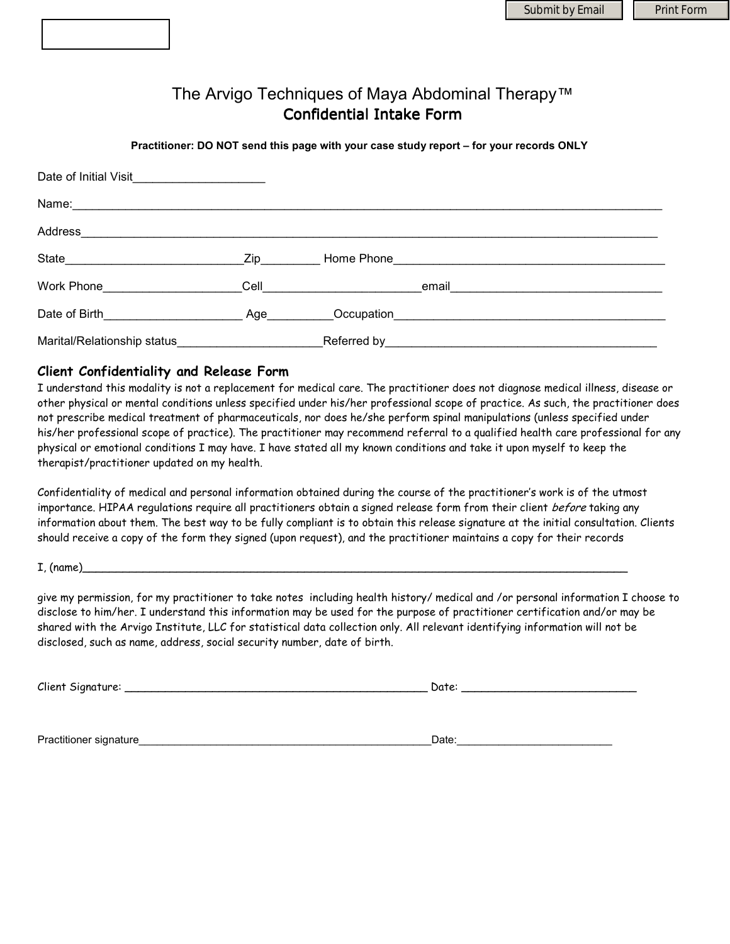# The Arvigo Techniques of Maya Abdominal Therapy™ Confidential Intake Form

**Practitioner: DO NOT send this page with your case study report – for your records ONLY** 

| Date of Initial Visit_______________________ |  |                                                                                                                                                                                                                                     |
|----------------------------------------------|--|-------------------------------------------------------------------------------------------------------------------------------------------------------------------------------------------------------------------------------------|
| Name: Name:                                  |  |                                                                                                                                                                                                                                     |
|                                              |  |                                                                                                                                                                                                                                     |
|                                              |  |                                                                                                                                                                                                                                     |
| Work Phone___________________                |  | <b>Cell</b> email email email email email experience of the contract of the contract of the contract of the contract of the contract of the contract of the contract of the contract of the contract of the contract of the contrac |
| Date of Birth Age                            |  |                                                                                                                                                                                                                                     |
| Marital/Relationship status_                 |  | Referred by Referred by Allen and Allen and Allen and Allen and Allen and Allen and Allen and Allen and Allen                                                                                                                       |

#### **Client Confidentiality and Release Form**

I understand this modality is not a replacement for medical care. The practitioner does not diagnose medical illness, disease or other physical or mental conditions unless specified under his/her professional scope of practice. As such, the practitioner does not prescribe medical treatment of pharmaceuticals, nor does he/she perform spinal manipulations (unless specified under his/her professional scope of practice). The practitioner may recommend referral to a qualified health care professional for any physical or emotional conditions I may have. I have stated all my known conditions and take it upon myself to keep the therapist/practitioner updated on my health.

Confidentiality of medical and personal information obtained during the course of the practitioner's work is of the utmost importance. HIPAA regulations require all practitioners obtain a signed release form from their client before taking any information about them. The best way to be fully compliant is to obtain this release signature at the initial consultation. Clients should receive a copy of the form they signed (upon request), and the practitioner maintains a copy for their records

#### I, (name)\_\_\_\_\_\_\_\_\_\_\_\_\_\_\_\_\_\_\_\_\_\_\_\_\_\_\_\_\_\_\_\_\_\_\_\_\_\_\_\_\_\_\_\_\_\_\_\_\_\_\_\_\_\_\_\_\_\_\_\_\_\_\_\_\_\_\_\_\_\_\_\_\_\_\_\_\_\_\_\_\_

give my permission, for my practitioner to take notes including health history/ medical and /or personal information I choose to disclose to him/her. I understand this information may be used for the purpose of practitioner certification and/or may be shared with the Arvigo Institute, LLC for statistical data collection only. All relevant identifying information will not be disclosed, such as name, address, social security number, date of birth.

| Client Signature: | - Oate: |
|-------------------|---------|
|-------------------|---------|

Practitioner signature\_\_\_\_\_\_\_\_\_\_\_\_\_\_\_\_\_\_\_\_\_\_\_\_\_\_\_\_\_\_\_\_\_\_\_\_\_\_\_\_\_\_\_\_\_\_\_\_\_Date:\_\_\_\_\_\_\_\_\_\_\_\_\_\_\_\_\_\_\_\_\_\_\_\_\_\_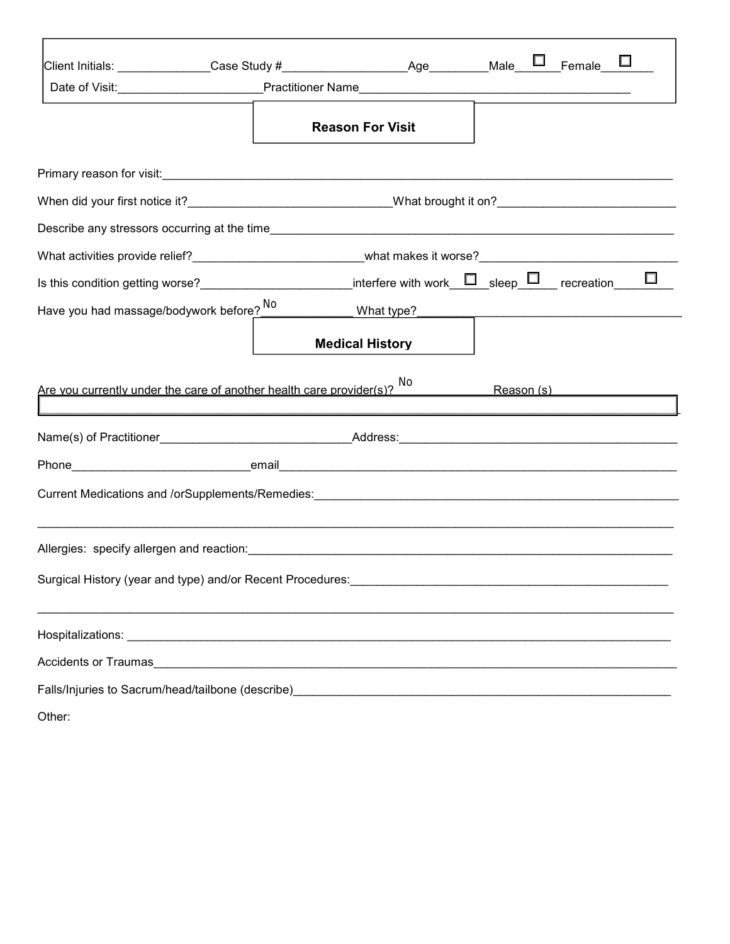|                                          | Client Initials: ______________Case Study #___________________Age_________Male___ <sup>____</sup> _Female___ <mark>__</mark> |                         |  |  |
|------------------------------------------|------------------------------------------------------------------------------------------------------------------------------|-------------------------|--|--|
|                                          |                                                                                                                              |                         |  |  |
|                                          |                                                                                                                              | <b>Reason For Visit</b> |  |  |
|                                          |                                                                                                                              |                         |  |  |
|                                          | When did your first notice it?__________________________________What brought it on?_________________________________         |                         |  |  |
|                                          |                                                                                                                              |                         |  |  |
|                                          | What activities provide relief?____________________________what makes it worse?_______________________________               |                         |  |  |
|                                          | Is this condition getting worse?_________________________interfere with work_______sleep_______ recreation_____              |                         |  |  |
| Have you had massage/bodywork before? No |                                                                                                                              |                         |  |  |
|                                          |                                                                                                                              |                         |  |  |
|                                          |                                                                                                                              | <b>Medical History</b>  |  |  |
|                                          |                                                                                                                              |                         |  |  |
|                                          | Are you currently under the care of another health care provider(s)? No                                                      |                         |  |  |
|                                          |                                                                                                                              |                         |  |  |
|                                          |                                                                                                                              |                         |  |  |
|                                          | Current Medications and /orSupplements/Remedies: ________________________________                                            |                         |  |  |
|                                          |                                                                                                                              |                         |  |  |
|                                          |                                                                                                                              |                         |  |  |
|                                          |                                                                                                                              |                         |  |  |
|                                          | Surgical History (year and type) and/or Recent Procedures: ______________________                                            |                         |  |  |
|                                          |                                                                                                                              |                         |  |  |
|                                          | Accidents or Traumas                                                                                                         |                         |  |  |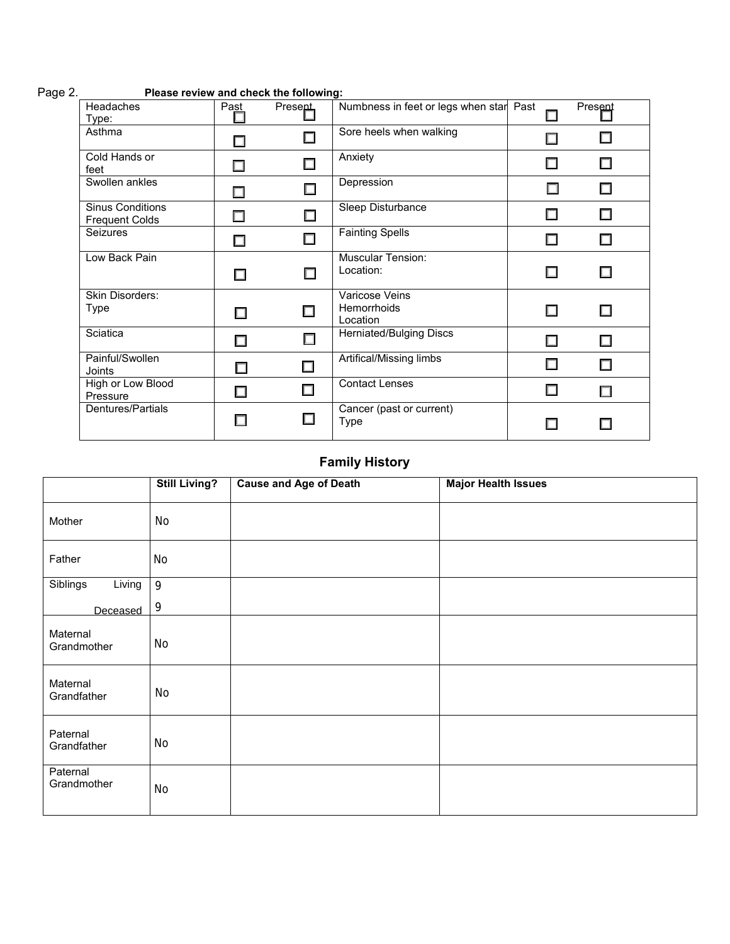| <b>Headaches</b><br>Type:                        | Past   | <b>Present</b> | Numbness in feet or legs when star Past          |   | Present |
|--------------------------------------------------|--------|----------------|--------------------------------------------------|---|---------|
| Asthma                                           |        |                | Sore heels when walking                          | П |         |
| Cold Hands or<br>feet                            | П      |                | Anxiety                                          | П |         |
| Swollen ankles                                   |        | $\Box$         | Depression                                       | П |         |
| <b>Sinus Conditions</b><br><b>Frequent Colds</b> | П      | □              | Sleep Disturbance                                |   |         |
| Seizures                                         | П      |                | <b>Fainting Spells</b>                           | П |         |
| Low Back Pain                                    |        |                | <b>Muscular Tension:</b><br>Location:            | П |         |
| <b>Skin Disorders:</b><br>Type                   | П      |                | Varicose Veins<br><b>Hemorrhoids</b><br>Location | ш |         |
| Sciatica                                         | П      |                | Herniated/Bulging Discs                          | П |         |
| Painful/Swollen<br>Joints                        | . .    |                | Artifical/Missing limbs                          |   |         |
| High or Low Blood<br>Pressure                    | $\Box$ | П              | <b>Contact Lenses</b>                            | П |         |
| Dentures/Partials                                | П      | $\Box$         | Cancer (past or current)<br>Type                 |   |         |

# Page 2. **Please review and check the following:**

# **Family History**

|                         | <b>Still Living?</b> | <b>Cause and Age of Death</b> | <b>Major Health Issues</b> |
|-------------------------|----------------------|-------------------------------|----------------------------|
| Mother                  | No                   |                               |                            |
| Father                  | No                   |                               |                            |
| Siblings<br>Living      | 9                    |                               |                            |
| Deceased                | 9                    |                               |                            |
| Maternal<br>Grandmother | No                   |                               |                            |
| Maternal<br>Grandfather | No                   |                               |                            |
| Paternal<br>Grandfather | No                   |                               |                            |
| Paternal<br>Grandmother | No                   |                               |                            |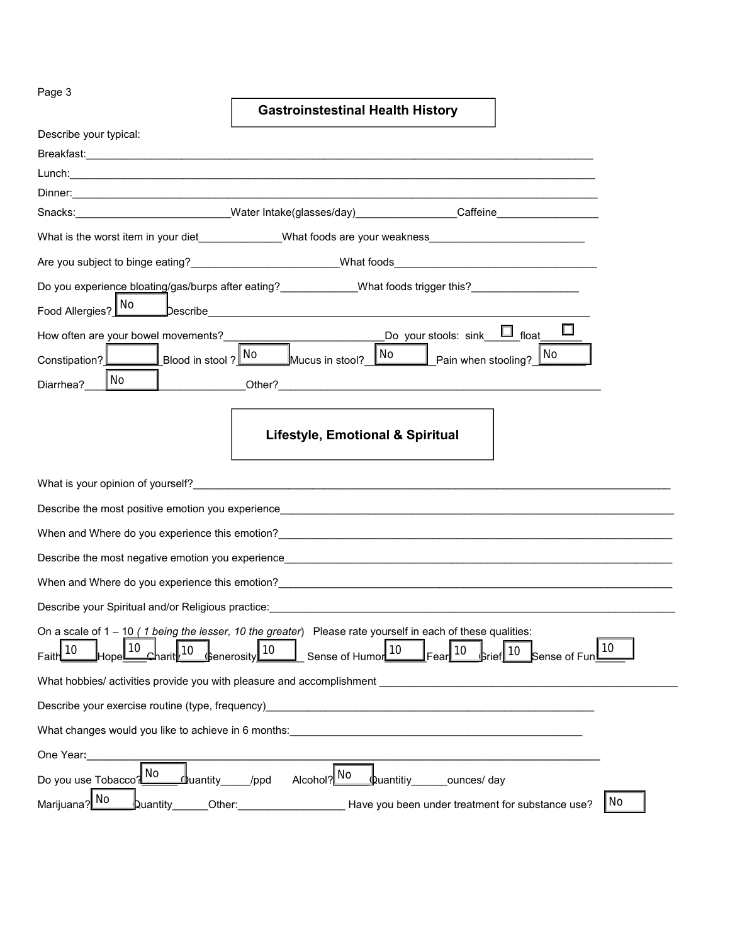Page 3

# **Gastroinstestinal Health History**

| Describe your typical:                                                |                                                                                                                                                                                                                                  |
|-----------------------------------------------------------------------|----------------------------------------------------------------------------------------------------------------------------------------------------------------------------------------------------------------------------------|
|                                                                       |                                                                                                                                                                                                                                  |
|                                                                       |                                                                                                                                                                                                                                  |
|                                                                       |                                                                                                                                                                                                                                  |
|                                                                       | Snacks: ________________________Water Intake(glasses/day)________________Caffeine__________________                                                                                                                              |
|                                                                       | What is the worst item in your diet_____________What foods are your weakness________________________                                                                                                                             |
|                                                                       |                                                                                                                                                                                                                                  |
|                                                                       | Do you experience bloating/gas/burps after eating?______________What foods trigger this?_____________________                                                                                                                    |
| Food Allergies? No                                                    |                                                                                                                                                                                                                                  |
|                                                                       | $\Box$<br>How often are your bowel movements?<br>Constipation?<br>Blood in stool? No Mucus in stool? No Pain when stooling? No                                                                                                   |
|                                                                       |                                                                                                                                                                                                                                  |
| No<br>Diarrhea?                                                       |                                                                                                                                                                                                                                  |
|                                                                       | <b>Lifestyle, Emotional &amp; Spiritual</b>                                                                                                                                                                                      |
|                                                                       | What is your opinion of yourself?<br>The contract of the contract of the contract of the contract of the contract of the contract of the contract of the contract of the contract of the contract of the contract of the contrac |
|                                                                       | Describe the most positive emotion you experience example and the contract of the contract of the contract of the contract of the contract of the contract of the contract of the contract of the contract of the contract of    |
|                                                                       | When and Where do you experience this emotion? Manual Community of the control of the control of the control of the control of the control of the control of the control of the control of the control of the control of the c   |
|                                                                       |                                                                                                                                                                                                                                  |
|                                                                       | When and Where do you experience this emotion?<br><u> When and Where do you experience this emotion?</u>                                                                                                                         |
|                                                                       | Describe your Spiritual and/or Religious practice: Description of the control of the control of the control of the control of the control of the control of the control of the control of the control of the control of the co   |
| Hope 10 Charit 10 Generosity 10 Sense of Humor 10<br>Faith $10$       | On a scale of $1 - 10$ (1 being the lesser, 10 the greater) Please rate yourself in each of these qualities:<br>$\frac{10}{10}$ Grief 10 Sense of Fun $^{10}$                                                                    |
| What hobbies/ activities provide you with pleasure and accomplishment | <u> 1980 - John Stein, Amerikaansk politiker (</u>                                                                                                                                                                               |
| Describe your exercise routine (type, frequency)                      |                                                                                                                                                                                                                                  |
|                                                                       | What changes would you like to achieve in 6 months: What changes would                                                                                                                                                           |
| One Year:                                                             |                                                                                                                                                                                                                                  |
| No<br>Do you use Tobacco?<br>₫uantity_                                | Alcohol? No<br><u> Quantitiy</u><br>ounces/day<br>/ppd                                                                                                                                                                           |
| Marijuana? No<br>Duantity<br>Other:                                   | No<br>Have you been under treatment for substance use?                                                                                                                                                                           |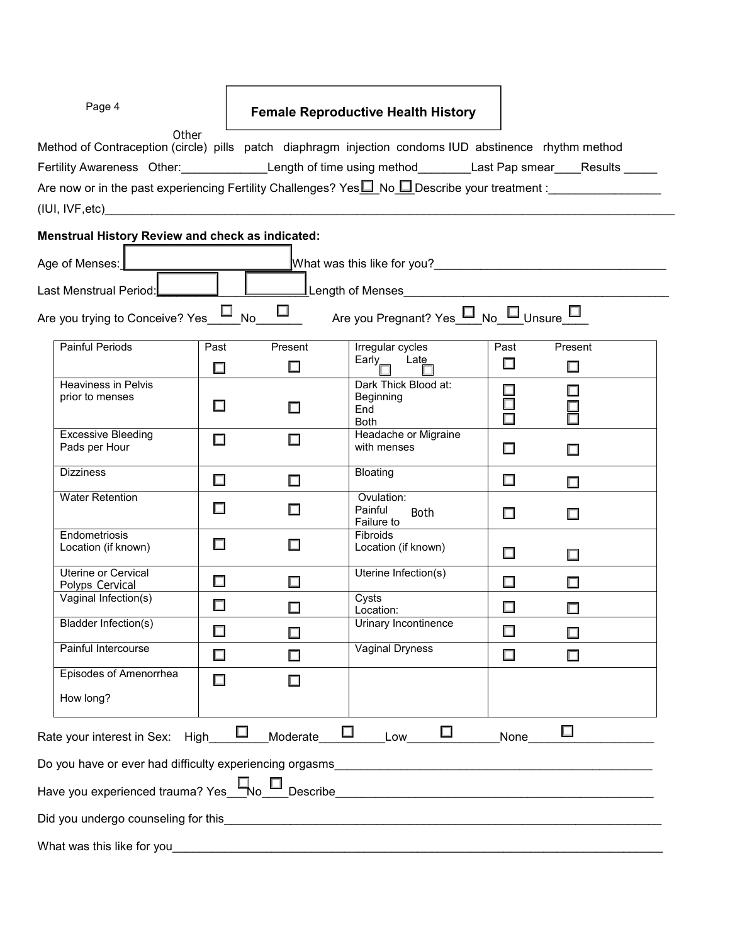| Page 4                                                                                                                                                                                                                         |                              | <b>Female Reproductive Health History</b>               |                                  |                   |  |
|--------------------------------------------------------------------------------------------------------------------------------------------------------------------------------------------------------------------------------|------------------------------|---------------------------------------------------------|----------------------------------|-------------------|--|
| Other<br>Method of Contraception (circle) pills patch diaphragm injection condoms IUD abstinence rhythm method                                                                                                                 |                              |                                                         |                                  |                   |  |
| Fertility Awareness Other:_______________Length of time using method________Last Pap smear____Results _____                                                                                                                    |                              |                                                         |                                  |                   |  |
|                                                                                                                                                                                                                                |                              |                                                         |                                  |                   |  |
|                                                                                                                                                                                                                                |                              |                                                         |                                  |                   |  |
| <b>Menstrual History Review and check as indicated:</b>                                                                                                                                                                        |                              |                                                         |                                  |                   |  |
| Age of Menses:                                                                                                                                                                                                                 |                              |                                                         |                                  |                   |  |
| Last Menstrual Period:                                                                                                                                                                                                         |                              |                                                         |                                  |                   |  |
| Are you trying to Conceive? Yes No                                                                                                                                                                                             | $\Box$                       | Are you Pregnant? Yes No U <sub>Unsure</sub>            |                                  |                   |  |
| <b>Painful Periods</b><br>Past<br>□                                                                                                                                                                                            | Present<br>□                 | Irregular cycles<br>Early <sub>,</sub> Late             | Past<br>$\Box$                   | Present<br>$\Box$ |  |
| <b>Heaviness in Pelvis</b><br>prior to menses<br>$\Box$                                                                                                                                                                        |                              | Dark Thick Blood at:<br>Beginning<br>End<br><b>Both</b> | □<br>$\Box$<br>$\overline{\Box}$ |                   |  |
| <b>Excessive Bleeding</b><br>□<br>Pads per Hour                                                                                                                                                                                | ш                            | Headache or Migraine<br>with menses                     | $\Box$                           | П                 |  |
| <b>Dizziness</b><br>$\Box$                                                                                                                                                                                                     | □                            | Bloating                                                | □                                | ш                 |  |
| <b>Water Retention</b><br>□                                                                                                                                                                                                    | ш                            | Ovulation:<br>Painful<br><b>Both</b><br>Failure to      | $\Box$                           | $\Box$            |  |
| Endometriosis<br>$\Box$<br>Location (if known)                                                                                                                                                                                 |                              | <b>Fibroids</b><br>Location (if known)                  | $\Box$                           | □                 |  |
| <b>Uterine or Cervical</b><br>$\Box$<br>Polyps Cervical                                                                                                                                                                        | П                            | Uterine Infection(s)                                    | □                                | П                 |  |
| Vaginal Infection(s)<br>□                                                                                                                                                                                                      |                              | Cysts<br>Location:                                      | $\Box$                           |                   |  |
| Bladder Infection(s)<br>$\Box$                                                                                                                                                                                                 |                              | Urinary Incontinence                                    | $\Box$                           |                   |  |
| Painful Intercourse<br>$\Box$                                                                                                                                                                                                  |                              | Vaginal Dryness                                         | □                                |                   |  |
| Episodes of Amenorrhea<br>$\Box$                                                                                                                                                                                               | □                            |                                                         |                                  |                   |  |
| How long?                                                                                                                                                                                                                      |                              |                                                         |                                  |                   |  |
| Rate your interest in Sex: High                                                                                                                                                                                                | $\Box$<br>$\Box$<br>Moderate | $\Box$<br>Low                                           | None                             | □                 |  |
| Do you have or ever had difficulty experiencing orgasms experience and all the set of the set of the set of the                                                                                                                |                              |                                                         |                                  |                   |  |
| Have you experienced trauma? Yes No D Describe Describe No D Describe No D Describe D Describe D D Describe D D                                                                                                                |                              |                                                         |                                  |                   |  |
| Did you undergo counseling for this experience of the control of the control of the control of the control of the control of the control of the control of the control of the control of the control of the control of the con |                              |                                                         |                                  |                   |  |
| What was this like for you___________                                                                                                                                                                                          |                              |                                                         |                                  |                   |  |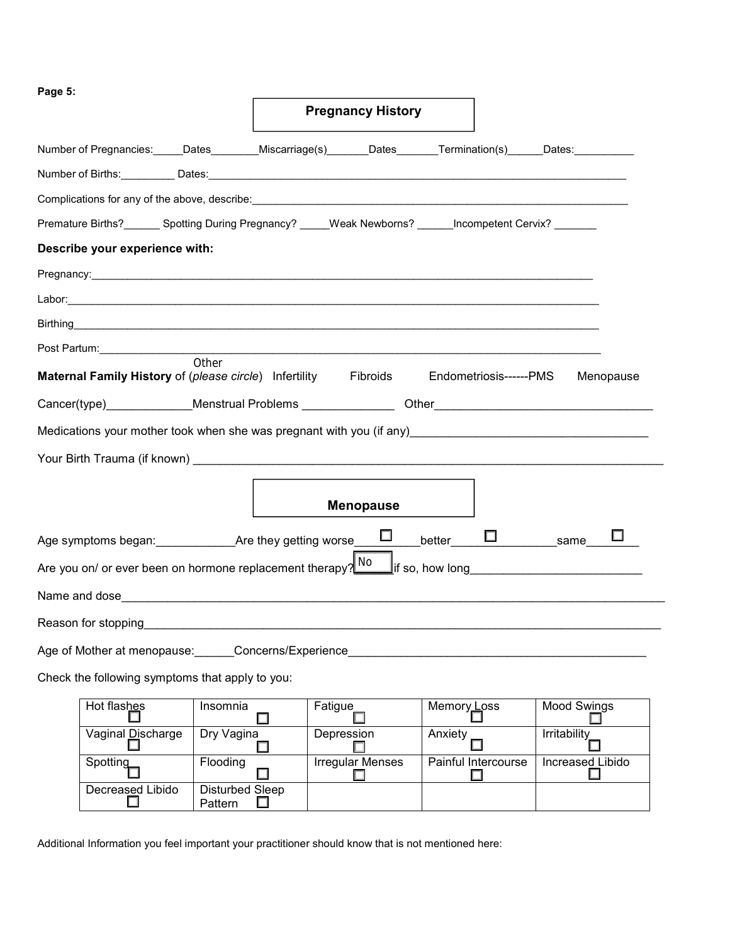**Page 5:** 

|                                                                                                                            |            |                          | <b>Pregnancy History</b>     |                               |                  |
|----------------------------------------------------------------------------------------------------------------------------|------------|--------------------------|------------------------------|-------------------------------|------------------|
| Number of Pregnancies: _____Dates_________Miscarriage(s)________Dates_______Termination(s)______Dates:_________            |            |                          |                              |                               |                  |
|                                                                                                                            |            |                          |                              |                               |                  |
|                                                                                                                            |            |                          |                              |                               |                  |
| Premature Births?________ Spotting During Pregnancy? _____Weak Newborns? ______Incompetent Cervix? _______                 |            |                          |                              |                               |                  |
| Describe your experience with:                                                                                             |            |                          |                              |                               |                  |
|                                                                                                                            |            |                          |                              |                               |                  |
|                                                                                                                            |            |                          |                              |                               |                  |
|                                                                                                                            |            |                          |                              |                               |                  |
|                                                                                                                            |            |                          |                              |                               |                  |
| <b>Maternal Family History</b> of (please circle) Infertility Fibroids Endometriosis------PMS                              | Other      |                          |                              |                               | Menopause        |
| Cancer(type) Menstrual Problems Cancer Cher                                                                                |            |                          |                              |                               |                  |
|                                                                                                                            |            |                          |                              |                               |                  |
|                                                                                                                            |            |                          |                              |                               |                  |
|                                                                                                                            |            |                          |                              |                               |                  |
|                                                                                                                            |            |                          | <b>Menopause</b>             |                               |                  |
| Age symptoms began:_____________Are they getting worse____ <sup>_____</sup> ___better_____ <sup>_____</sup> _______same___ |            |                          |                              |                               |                  |
| Are you on/ or ever been on hormone replacement therapy? $\frac{N0}{N}$ if so, how long                                    |            |                          |                              |                               |                  |
|                                                                                                                            |            |                          |                              |                               |                  |
|                                                                                                                            |            |                          |                              |                               |                  |
| Age of Mother at menopause: Concerns/Experience                                                                            |            |                          |                              |                               |                  |
| Check the following symptoms that apply to you:                                                                            |            |                          |                              |                               |                  |
| Hot flashes                                                                                                                | Insomnia   |                          | Fatigue                      | Memory Loss                   | Mood Swings      |
| Vaginal Discharge                                                                                                          | Dry Vagina |                          | Depression                   | Anxiety                       | Irritability     |
| Spotting                                                                                                                   | Flooding   | $\overline{\phantom{a}}$ | <b>Irregular Menses</b><br>H | Painful Intercourse<br>$\Box$ | Increased Libido |

Additional Information you feel important your practitioner should know that is not mentioned here:

Decreased Libido Disturbed Sleep

**Pattern**